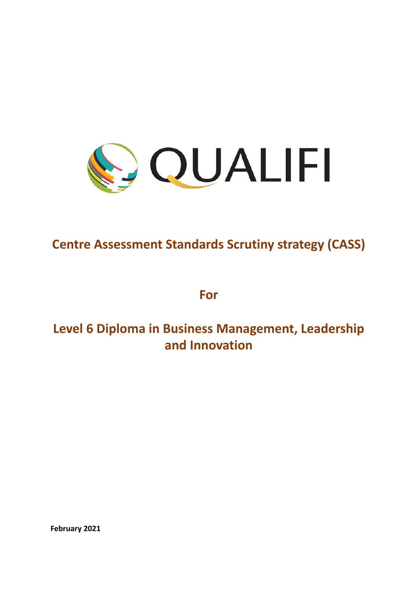

# **Centre Assessment Standards Scrutiny strategy (CASS)**

**For**

# **Level 6 Diploma in Business Management, Leadership and Innovation**

**February 2021**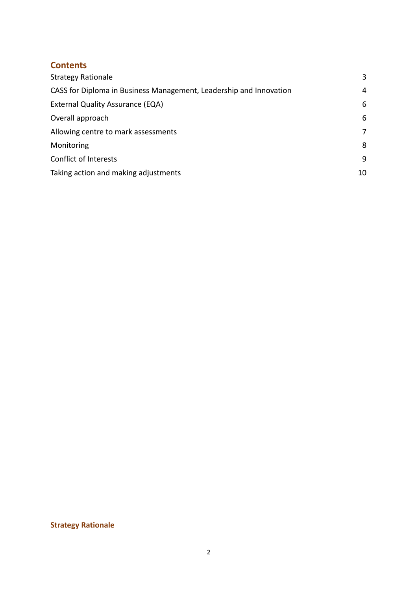# **Contents**

| <b>Strategy Rationale</b>                                          | 3  |
|--------------------------------------------------------------------|----|
| CASS for Diploma in Business Management, Leadership and Innovation | 4  |
| <b>External Quality Assurance (EQA)</b>                            | 6  |
| Overall approach                                                   | 6  |
| Allowing centre to mark assessments                                | 7  |
| Monitoring                                                         | 8  |
| Conflict of Interests                                              | 9  |
| Taking action and making adjustments                               | 10 |

# <span id="page-1-0"></span>**Strategy Rationale**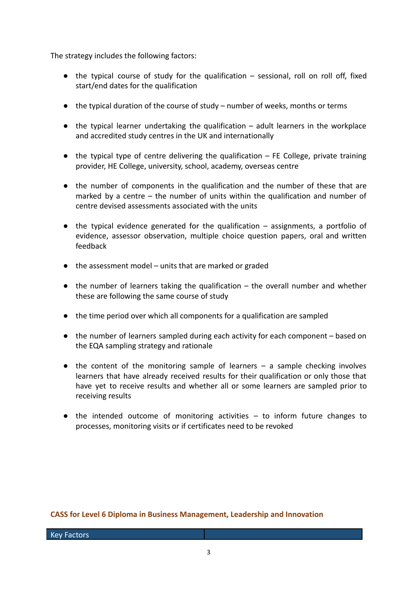The strategy includes the following factors:

- $\bullet$  the typical course of study for the qualification sessional, roll on roll off, fixed start/end dates for the qualification
- the typical duration of the course of study number of weeks, months or terms
- $\bullet$  the typical learner undertaking the qualification adult learners in the workplace and accredited study centres in the UK and internationally
- $\bullet$  the typical type of centre delivering the qualification  $-$  FE College, private training provider, HE College, university, school, academy, overseas centre
- the number of components in the qualification and the number of these that are marked by a centre – the number of units within the qualification and number of centre devised assessments associated with the units
- the typical evidence generated for the qualification assignments, a portfolio of evidence, assessor observation, multiple choice question papers, oral and written feedback
- the assessment model units that are marked or graded
- the number of learners taking the qualification the overall number and whether these are following the same course of study
- the time period over which all components for a qualification are sampled
- the number of learners sampled during each activity for each component based on the EQA sampling strategy and rationale
- the content of the monitoring sample of learners a sample checking involves learners that have already received results for their qualification or only those that have yet to receive results and whether all or some learners are sampled prior to receiving results
- the intended outcome of monitoring activities to inform future changes to processes, monitoring visits or if certificates need to be revoked

# <span id="page-2-0"></span>**CASS for Level 6 Diploma in Business Management, Leadership and Innovation**

Key Factors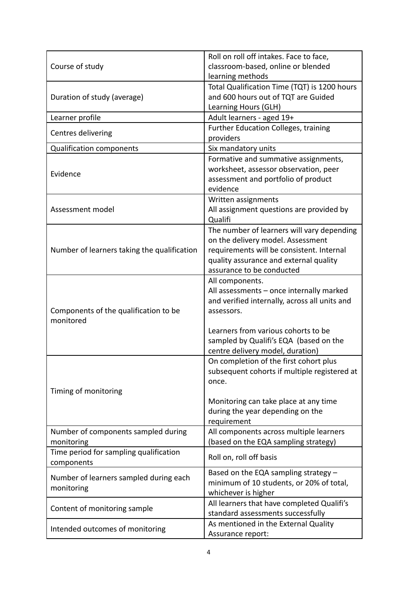|                                             | Roll on roll off intakes. Face to face,         |  |
|---------------------------------------------|-------------------------------------------------|--|
| Course of study                             | classroom-based, online or blended              |  |
|                                             | learning methods                                |  |
| Duration of study (average)                 | Total Qualification Time (TQT) is 1200 hours    |  |
|                                             | and 600 hours out of TQT are Guided             |  |
|                                             | Learning Hours (GLH)                            |  |
| Learner profile                             | Adult learners - aged 19+                       |  |
| Centres delivering                          | <b>Further Education Colleges, training</b>     |  |
|                                             | providers                                       |  |
| <b>Qualification components</b>             | Six mandatory units                             |  |
|                                             | Formative and summative assignments,            |  |
| Evidence                                    | worksheet, assessor observation, peer           |  |
|                                             | assessment and portfolio of product             |  |
|                                             | evidence                                        |  |
|                                             | Written assignments                             |  |
| Assessment model                            | All assignment questions are provided by        |  |
|                                             | Qualifi                                         |  |
|                                             | The number of learners will vary depending      |  |
|                                             | on the delivery model. Assessment               |  |
| Number of learners taking the qualification | requirements will be consistent. Internal       |  |
|                                             | quality assurance and external quality          |  |
|                                             | assurance to be conducted                       |  |
|                                             | All components.                                 |  |
|                                             | All assessments - once internally marked        |  |
|                                             | and verified internally, across all units and   |  |
| Components of the qualification to be       | assessors.                                      |  |
| monitored                                   |                                                 |  |
|                                             | Learners from various cohorts to be             |  |
|                                             | sampled by Qualifi's EQA (based on the          |  |
|                                             | centre delivery model, duration)                |  |
|                                             | On completion of the first cohort plus          |  |
|                                             | subsequent cohorts if multiple registered at    |  |
| once.                                       |                                                 |  |
| Timing of monitoring                        |                                                 |  |
|                                             | Monitoring can take place at any time           |  |
|                                             | during the year depending on the<br>requirement |  |
| Number of components sampled during         | All components across multiple learners         |  |
| monitoring                                  | (based on the EQA sampling strategy)            |  |
| Time period for sampling qualification      |                                                 |  |
| components                                  | Roll on, roll off basis                         |  |
|                                             | Based on the EQA sampling strategy $-$          |  |
| Number of learners sampled during each      | minimum of 10 students, or 20% of total,        |  |
| monitoring                                  | whichever is higher                             |  |
| Content of monitoring sample                | All learners that have completed Qualifi's      |  |
|                                             | standard assessments successfully               |  |
| Intended outcomes of monitoring             | As mentioned in the External Quality            |  |
|                                             | Assurance report:                               |  |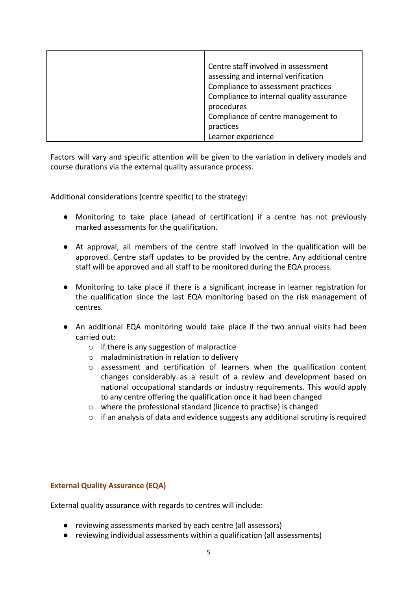| Centre staff involved in assessment      |
|------------------------------------------|
| assessing and internal verification      |
| Compliance to assessment practices       |
| Compliance to internal quality assurance |
| procedures                               |
| Compliance of centre management to       |
| practices                                |
| Learner experience                       |

Factors will vary and specific attention will be given to the variation in delivery models and course durations via the external quality assurance process.

Additional considerations (centre specific) to the strategy:

- Monitoring to take place (ahead of certification) if a centre has not previously marked assessments for the qualification.
- At approval, all members of the centre staff involved in the qualification will be approved. Centre staff updates to be provided by the centre. Any additional centre staff will be approved and all staff to be monitored during the EQA process.
- Monitoring to take place if there is a significant increase in learner registration for the qualification since the last EQA monitoring based on the risk management of centres.
- An additional EQA monitoring would take place if the two annual visits had been carried out:
	- o if there is any suggestion of malpractice
	- o maladministration in relation to delivery
	- o assessment and certification of learners when the qualification content changes considerably as a result of a review and development based on national occupational standards or industry requirements. This would apply to any centre offering the qualification once it had been changed
	- o where the professional standard (licence to practise) is changed
	- $\circ$  if an analysis of data and evidence suggests any additional scrutiny is required

# <span id="page-4-0"></span>**External Quality Assurance (EQA)**

External quality assurance with regards to centres will include:

- reviewing assessments marked by each centre (all assessors)
- reviewing individual assessments within a qualification (all assessments)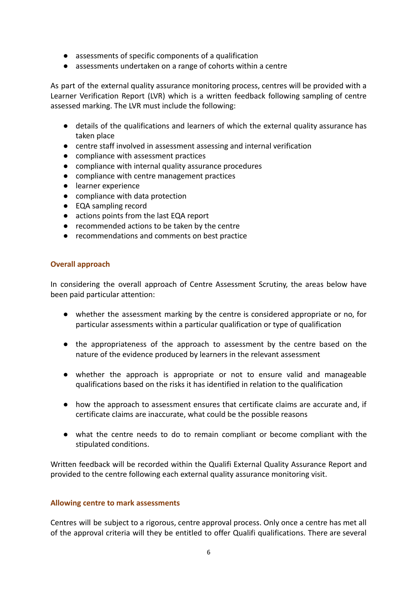- assessments of specific components of a qualification
- assessments undertaken on a range of cohorts within a centre

As part of the external quality assurance monitoring process, centres will be provided with a Learner Verification Report (LVR) which is a written feedback following sampling of centre assessed marking. The LVR must include the following:

- details of the qualifications and learners of which the external quality assurance has taken place
- centre staff involved in assessment assessing and internal verification
- compliance with assessment practices
- compliance with internal quality assurance procedures
- compliance with centre management practices
- learner experience
- compliance with data protection
- EQA sampling record
- actions points from the last EQA report
- recommended actions to be taken by the centre
- recommendations and comments on best practice

#### <span id="page-5-0"></span>**Overall approach**

In considering the overall approach of Centre Assessment Scrutiny, the areas below have been paid particular attention:

- whether the assessment marking by the centre is considered appropriate or no, for particular assessments within a particular qualification or type of qualification
- the appropriateness of the approach to assessment by the centre based on the nature of the evidence produced by learners in the relevant assessment
- whether the approach is appropriate or not to ensure valid and manageable qualifications based on the risks it has identified in relation to the qualification
- how the approach to assessment ensures that certificate claims are accurate and, if certificate claims are inaccurate, what could be the possible reasons
- what the centre needs to do to remain compliant or become compliant with the stipulated conditions.

Written feedback will be recorded within the Qualifi External Quality Assurance Report and provided to the centre following each external quality assurance monitoring visit.

# <span id="page-5-1"></span>**Allowing centre to mark assessments**

Centres will be subject to a rigorous, centre approval process. Only once a centre has met all of the approval criteria will they be entitled to offer Qualifi qualifications. There are several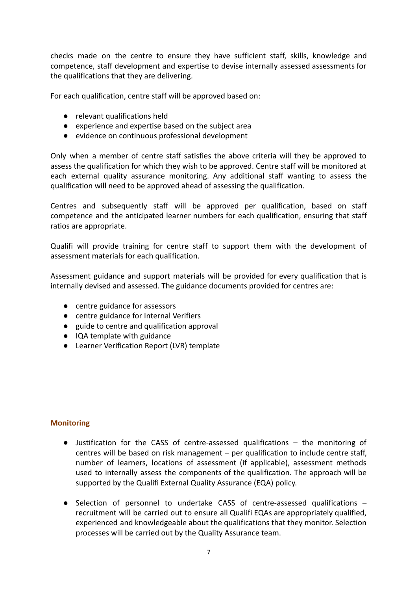checks made on the centre to ensure they have sufficient staff, skills, knowledge and competence, staff development and expertise to devise internally assessed assessments for the qualifications that they are delivering.

For each qualification, centre staff will be approved based on:

- relevant qualifications held
- experience and expertise based on the subject area
- evidence on continuous professional development

Only when a member of centre staff satisfies the above criteria will they be approved to assess the qualification for which they wish to be approved. Centre staff will be monitored at each external quality assurance monitoring. Any additional staff wanting to assess the qualification will need to be approved ahead of assessing the qualification.

Centres and subsequently staff will be approved per qualification, based on staff competence and the anticipated learner numbers for each qualification, ensuring that staff ratios are appropriate.

Qualifi will provide training for centre staff to support them with the development of assessment materials for each qualification.

Assessment guidance and support materials will be provided for every qualification that is internally devised and assessed. The guidance documents provided for centres are:

- centre guidance for assessors
- centre guidance for Internal Verifiers
- guide to centre and qualification approval
- IQA template with guidance
- Learner Verification Report (LVR) template

# <span id="page-6-0"></span>**Monitoring**

- Justification for the CASS of centre-assessed qualifications the monitoring of centres will be based on risk management – per qualification to include centre staff, number of learners, locations of assessment (if applicable), assessment methods used to internally assess the components of the qualification. The approach will be supported by the Qualifi External Quality Assurance (EQA) policy.
- Selection of personnel to undertake CASS of centre-assessed qualifications recruitment will be carried out to ensure all Qualifi EQAs are appropriately qualified, experienced and knowledgeable about the qualifications that they monitor. Selection processes will be carried out by the Quality Assurance team.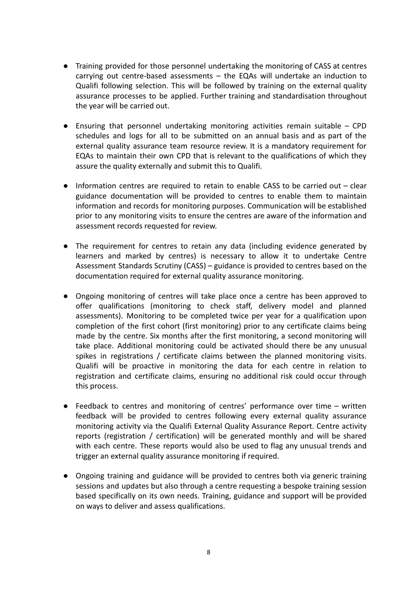- Training provided for those personnel undertaking the monitoring of CASS at centres carrying out centre-based assessments – the EQAs will undertake an induction to Qualifi following selection. This will be followed by training on the external quality assurance processes to be applied. Further training and standardisation throughout the year will be carried out.
- $\bullet$  Ensuring that personnel undertaking monitoring activities remain suitable CPD schedules and logs for all to be submitted on an annual basis and as part of the external quality assurance team resource review. It is a mandatory requirement for EQAs to maintain their own CPD that is relevant to the qualifications of which they assure the quality externally and submit this to Qualifi.
- Information centres are required to retain to enable CASS to be carried out clear guidance documentation will be provided to centres to enable them to maintain information and records for monitoring purposes. Communication will be established prior to any monitoring visits to ensure the centres are aware of the information and assessment records requested for review.
- The requirement for centres to retain any data (including evidence generated by learners and marked by centres) is necessary to allow it to undertake Centre Assessment Standards Scrutiny (CASS) – guidance is provided to centres based on the documentation required for external quality assurance monitoring.
- Ongoing monitoring of centres will take place once a centre has been approved to offer qualifications (monitoring to check staff, delivery model and planned assessments). Monitoring to be completed twice per year for a qualification upon completion of the first cohort (first monitoring) prior to any certificate claims being made by the centre. Six months after the first monitoring, a second monitoring will take place. Additional monitoring could be activated should there be any unusual spikes in registrations / certificate claims between the planned monitoring visits. Qualifi will be proactive in monitoring the data for each centre in relation to registration and certificate claims, ensuring no additional risk could occur through this process.
- Feedback to centres and monitoring of centres' performance over time written feedback will be provided to centres following every external quality assurance monitoring activity via the Qualifi External Quality Assurance Report. Centre activity reports (registration / certification) will be generated monthly and will be shared with each centre. These reports would also be used to flag any unusual trends and trigger an external quality assurance monitoring if required.
- Ongoing training and guidance will be provided to centres both via generic training sessions and updates but also through a centre requesting a bespoke training session based specifically on its own needs. Training, guidance and support will be provided on ways to deliver and assess qualifications.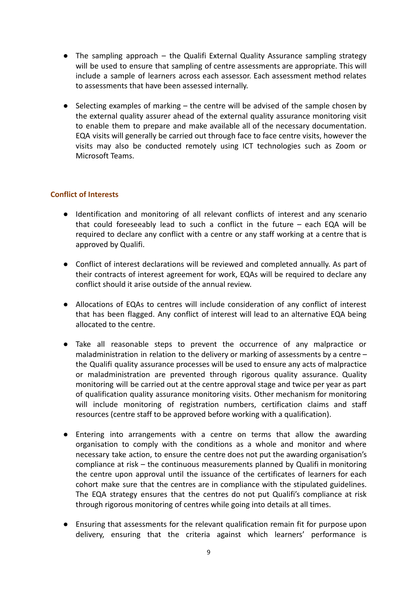- The sampling approach the Qualifi External Quality Assurance sampling strategy will be used to ensure that sampling of centre assessments are appropriate. This will include a sample of learners across each assessor. Each assessment method relates to assessments that have been assessed internally.
- $\bullet$  Selecting examples of marking  $-$  the centre will be advised of the sample chosen by the external quality assurer ahead of the external quality assurance monitoring visit to enable them to prepare and make available all of the necessary documentation. EQA visits will generally be carried out through face to face centre visits, however the visits may also be conducted remotely using ICT technologies such as Zoom or Microsoft Teams.

# <span id="page-8-0"></span>**Conflict of Interests**

- Identification and monitoring of all relevant conflicts of interest and any scenario that could foreseeably lead to such a conflict in the future – each EQA will be required to declare any conflict with a centre or any staff working at a centre that is approved by Qualifi.
- Conflict of interest declarations will be reviewed and completed annually. As part of their contracts of interest agreement for work, EQAs will be required to declare any conflict should it arise outside of the annual review.
- Allocations of EQAs to centres will include consideration of any conflict of interest that has been flagged. Any conflict of interest will lead to an alternative EQA being allocated to the centre.
- Take all reasonable steps to prevent the occurrence of any malpractice or maladministration in relation to the delivery or marking of assessments by a centre – the Qualifi quality assurance processes will be used to ensure any acts of malpractice or maladministration are prevented through rigorous quality assurance. Quality monitoring will be carried out at the centre approval stage and twice per year as part of qualification quality assurance monitoring visits. Other mechanism for monitoring will include monitoring of registration numbers, certification claims and staff resources (centre staff to be approved before working with a qualification).
- Entering into arrangements with a centre on terms that allow the awarding organisation to comply with the conditions as a whole and monitor and where necessary take action, to ensure the centre does not put the awarding organisation's compliance at risk – the continuous measurements planned by Qualifi in monitoring the centre upon approval until the issuance of the certificates of learners for each cohort make sure that the centres are in compliance with the stipulated guidelines. The EQA strategy ensures that the centres do not put Qualifi's compliance at risk through rigorous monitoring of centres while going into details at all times.
- Ensuring that assessments for the relevant qualification remain fit for purpose upon delivery, ensuring that the criteria against which learners' performance is